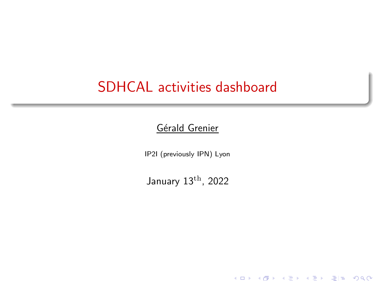### <span id="page-0-0"></span>SDHCAL activities dashboard

#### Gérald Grenier

IP2I (previously IPN) Lyon

January 13th, 2022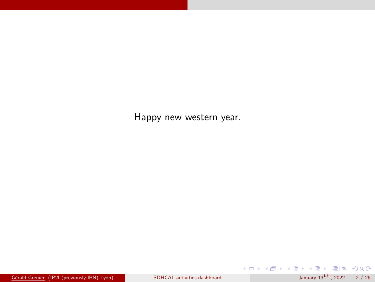Happy new western year.

K ロ X K 伊 X K 君 X K 君 X 〈君 X 〈君 H 〉 つんへ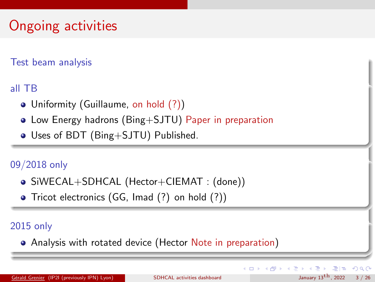# Ongoing activities

Test beam analysis

all TB

- Uniformity (Guillaume, on hold (?))
- Low Energy hadrons (Bing+SJTU) Paper in preparation
- Uses of BDT (Bing+SJTU) Published.

### 09/2018 only

- SiWECAL+SDHCAL (Hector+CIEMAT : (done))
- Tricot electronics (GG, Imad (?) on hold (?))

### 2015 only

Analysis with rotated device (Hector Note in preparation)

Gérald Grenier (IP2I (previously IPN) Lyon) [SDHCAL activities dashboard](#page-0-0) January 13<sup>[th](#page-26-0)</sup>, 2022 3 / 26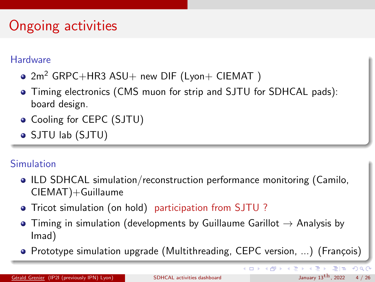# Ongoing activities

#### **Hardware**

- $\bullet$  2m<sup>2</sup> GRPC+HR3 ASU+ new DIF (Lyon+ CIEMAT)
- Timing electronics (CMS muon for strip and SJTU for SDHCAL pads): board design.
- Cooling for CEPC (SJTU)
- SJTU lab (SJTU)

### Simulation

- ILD SDHCAL simulation/reconstruction performance monitoring (Camilo, CIEMAT)+Guillaume
- Tricot simulation (on hold) participation from SJTU ?
- $\bullet$  Timing in simulation (developments by Guillaume Garillot  $\rightarrow$  Analysis by Imad)
- Prototype simulation upgrade (Multithreading, CEPC version, ...) (François)

K ロ ▶ K 優 ▶ K 결 ▶ K 결 ▶ (결)됨. K) 9,9,0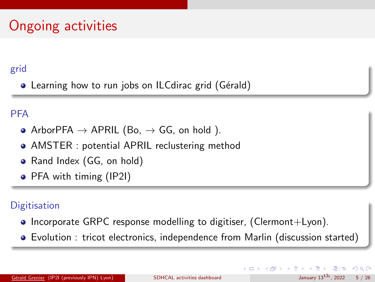# Ongoing activities

### grid

• Learning how to run jobs on ILCdirac grid (Gérald)

### PFA

- ArborPFA  $\rightarrow$  APRIL (Bo,  $\rightarrow$  GG, on hold ).
- AMSTER : potential APRIL reclustering method
- Rand Index (GG, on hold)
- PFA with timing (IP2I)

### **Digitisation**

- Incorporate GRPC response modelling to digitiser, (Clermont+Lyon).
- Evolution : tricot electronics, independence from Marlin (discussion started)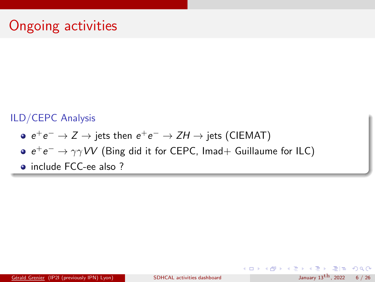### ILD/CEPC Analysis

- $e^+e^-$  →  $Z \rightarrow$  jets then  $e^+e^-$  →  $ZH \rightarrow$  jets (CIEMAT)
- $e^+e^- \rightarrow \gamma \gamma VV$  (Bing did it for CEPC, Imad+ Guillaume for ILC)
- include FCC-ee also ?

K ロ ▶ K 個 ▶ K ヨ ▶ K ヨ ▶ [로] ≥ 10 Q Q Q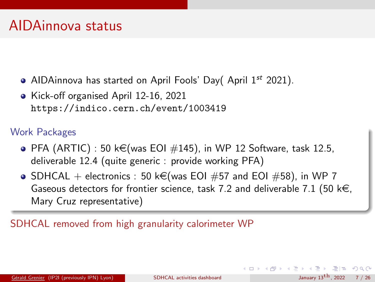- AIDAinnova has started on April Fools' Day( April  $1^{st}$  2021).
- Kick-off organised April 12-16, 2021 <https://indico.cern.ch/event/1003419>

### Work Packages

- $\bullet$  PFA (ARTIC) : 50 k $\in$ (was EOI  $\#145$ ), in WP 12 Software, task 12.5, deliverable 12.4 (quite generic : provide working PFA)
- SDHCAL + electronics : 50 k€(was EOI #57 and EOI #58), in WP 7 Gaseous detectors for frontier science, task 7.2 and deliverable 7.1 (50 k $\in$ , Mary Cruz representative)

SDHCAL removed from high granularity calorimeter WP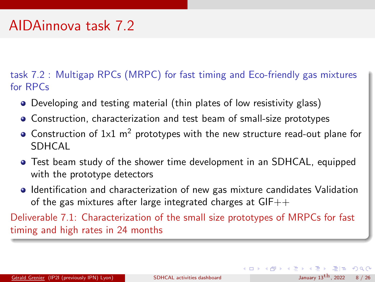### AIDAinnova task 7.2

task 7.2 : Multigap RPCs (MRPC) for fast timing and Eco-friendly gas mixtures for RPCs

- Developing and testing material (thin plates of low resistivity glass)
- Construction, characterization and test beam of small-size prototypes
- Construction of  $1x1$  m<sup>2</sup> prototypes with the new structure read-out plane for **SDHCAL**
- Test beam study of the shower time development in an SDHCAL, equipped with the prototype detectors
- Identification and characterization of new gas mixture candidates Validation of the gas mixtures after large integrated charges at  $GIF++$

Deliverable 7.1: Characterization of the small size prototypes of MRPCs for fast timing and high rates in 24 months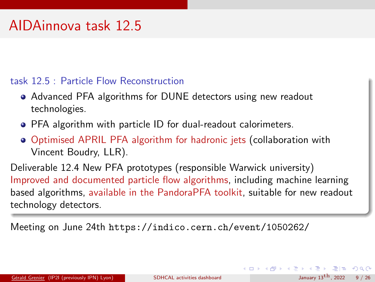### AIDAinnova task 12.5

#### task 12.5 : Particle Flow Reconstruction

- Advanced PFA algorithms for DUNE detectors using new readout technologies.
- PFA algorithm with particle ID for dual-readout calorimeters.
- Optimised APRIL PFA algorithm for hadronic jets (collaboration with Vincent Boudry, LLR).

Deliverable 12.4 New PFA prototypes (responsible Warwick university) Improved and documented particle flow algorithms, including machine learning based algorithms, available in the PandoraPFA toolkit, suitable for new readout technology detectors.

Meeting on June 24th <https://indico.cern.ch/event/1050262/>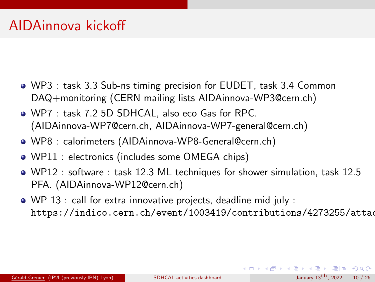- WP3 : task 3.3 Sub-ns timing precision for EUDET, task 3.4 Common DAQ+monitoring (CERN mailing lists AIDAinnova-WP3@cern.ch)
- WP7 : task 7.2 5D SDHCAL, also eco Gas for RPC. (AIDAinnova-WP7@cern.ch, AIDAinnova-WP7-general@cern.ch)
- WP8 : calorimeters (AIDAinnova-WP8-General@cern.ch)
- WP11 : electronics (includes some OMEGA chips)
- WP12 : software : task 12.3 ML techniques for shower simulation, task 12.5 PFA. (AIDAinnova-WP12@cern.ch)
- WP 13 : call for extra innovative projects, deadline mid july : [https://indico.cern.ch/event/1003419/contributions/4273255/attach](https://indico.cern.ch/event/1003419/contributions/4273255/attachments/2226853/3772291/AIDAINNOVA-210415-krizan.pdf)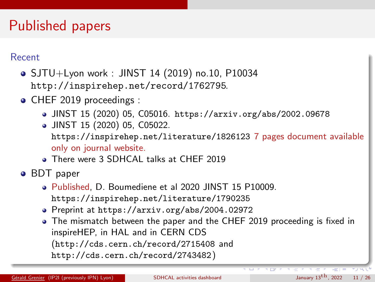# Published papers

#### Recent

- SJTU+Lyon work : JINST 14 (2019) no.10, P10034 <http://inspirehep.net/record/1762795>.
- CHEF 2019 proceedings :
	- JINST 15 (2020) 05, C05016. <https://arxiv.org/abs/2002.09678>
	- JINST 15 (2020) 05, C05022.
		- <https://inspirehep.net/literature/1826123> 7 pages document available only on journal website.
	- **There were 3 SDHCAL talks at CHEF 2019**

#### • BDT paper

- Published, D. Boumediene et al 2020 JINST 15 P10009. <https://inspirehep.net/literature/1790235>
- Preprint at <https://arxiv.org/abs/2004.02972>
- The mismatch between the paper and the CHEF 2019 proceeding is fixed in inspireHEP, in HAL and in CERN CDS (<http://cds.cern.ch/record/2715408> and <http://cds.cern.ch/record/2743482>)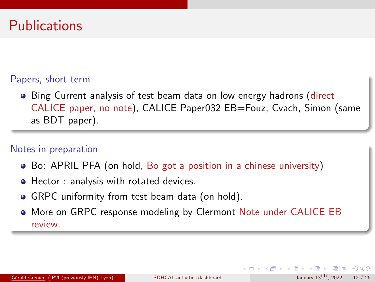### **Publications**

#### Papers, short term

• Bing Current analysis of test beam data on low energy hadrons (direct CALICE paper, no note), CALICE Paper032 EB=Fouz, Cvach, Simon (same as BDT paper).

#### Notes in preparation

- Bo: APRIL PFA (on hold, Bo got a position in a chinese university)
- Hector : analysis with rotated devices.
- GRPC uniformity from test beam data (on hold).
- More on GRPC response modeling by Clermont Note under CALICE EB review.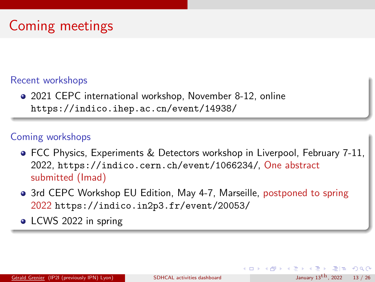#### Recent workshops

2021 CEPC international workshop, November 8-12, online <https://indico.ihep.ac.cn/event/14938/>

### Coming workshops

- FCC Physics, Experiments & Detectors workshop in Liverpool, February 7-11, 2022, <https://indico.cern.ch/event/1066234/>, One abstract submitted (Imad)
- 3rd CEPC Workshop EU Edition, May 4-7, Marseille, postponed to spring 2022 <https://indico.in2p3.fr/event/20053/>
- LCWS 2022 in spring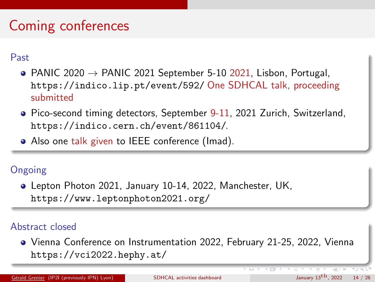# Coming conferences

Past

- PANIC 2020  $\rightarrow$  PANIC 2021 September 5-10 2021, Lisbon, Portugal, <https://indico.lip.pt/event/592/> One SDHCAL talk, proceeding submitted
- Pico-second timing detectors, September 9-11, 2021 Zurich, Switzerland, <https://indico.cern.ch/event/861104/>.
- Also one talk given to IEEE conference (Imad).

### Ongoing

Lepton Photon 2021, January 10-14, 2022, Manchester, UK, <https://www.leptonphoton2021.org/>

#### Abstract closed

Vienna Conference on Instrumentation 2022, February 21-25, 2022, Vienna <https://vci2022.hephy.at/>

Gérald Grenier (IP2I (previously IPN) Lyon) [SDHCAL activities dashboard](#page-0-0) January 13[t](#page-25-0)[h](#page-26-0), 2022 14 / 26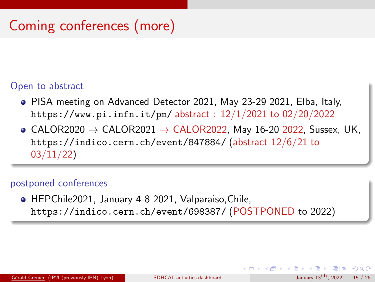# Coming conferences (more)

#### Open to abstract

- PISA meeting on Advanced Detector 2021, May 23-29 2021, Elba, Italy, <https://www.pi.infn.it/pm/> abstract : 12/1/2021 to 02/20/2022
- $\bullet$  CALOR2020  $\rightarrow$  CALOR2021  $\rightarrow$  CALOR2022, May 16-20 2022, Sussex, UK, <https://indico.cern.ch/event/847884/> (abstract 12/6/21 to 03/11/22)

#### postponed conferences

HEPChile2021, January 4-8 2021, Valparaiso,Chile, <https://indico.cern.ch/event/698387/> (POSTPONED to 2022)

KED KARD KED KED EIE KOAA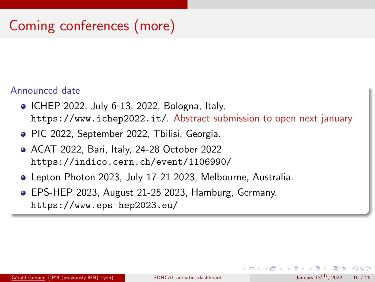# Coming conferences (more)

#### Announced date

- ICHEP 2022, July 6-13, 2022, Bologna, Italy, <https://www.ichep2022.it/>. Abstract submission to open next january
- PIC 2022, September 2022, Tbilisi, Georgia.
- ACAT 2022, Bari, Italy, 24-28 October 2022 <https://indico.cern.ch/event/1106990/>
- Lepton Photon 2023, July 17-21 2023, Melbourne, Australia.
- EPS-HEP 2023, August 21-25 2023, Hamburg, Germany. <https://www.eps-hep2023.eu/>

イロト イ押 トイヨ トイヨト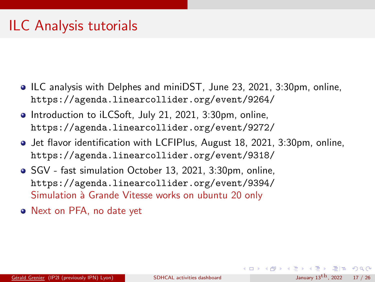## ILC Analysis tutorials

- ILC analysis with Delphes and miniDST, June 23, 2021, 3:30pm, online, <https://agenda.linearcollider.org/event/9264/>
- Introduction to iLCSoft, July 21, 2021, 3:30pm, online, <https://agenda.linearcollider.org/event/9272/>
- **Jet flavor identification with LCFIPlus, August 18, 2021, 3:30pm, online,** <https://agenda.linearcollider.org/event/9318/>
- SGV fast simulation October 13, 2021, 3:30pm, online, <https://agenda.linearcollider.org/event/9394/> Simulation à Grande Vitesse works on ubuntu 20 only
- Next on PFA, no date yet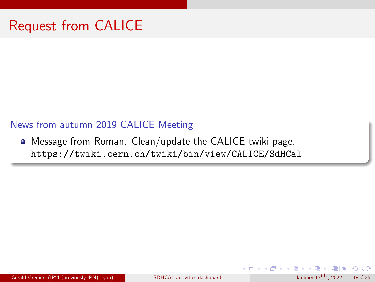#### News from autumn 2019 CALICE Meeting

Message from Roman. Clean/update the CALICE twiki page. <https://twiki.cern.ch/twiki/bin/view/CALICE/SdHCal>

Gérald Grenier (IP2I (previously IPN) Lyon) [SDHCAL activities dashboard](#page-0-0) January 13<sup>[t](#page-25-0)[h](#page-26-0)</sup>, 2022 18 / 26

 $E|E \cap Q$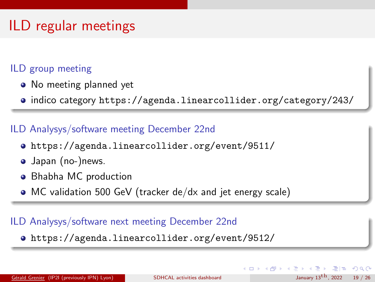# ILD regular meetings

### ILD group meeting

- No meeting planned yet
- indico category <https://agenda.linearcollider.org/category/243/>

#### ILD Analysys/software meeting December 22nd

- <https://agenda.linearcollider.org/event/9511/>
- Japan (no-)news.
- Bhabha MC production
- MC validation 500 GeV (tracker de/dx and jet energy scale)

### ILD Analysys/software next meeting December 22nd

<https://agenda.linearcollider.org/event/9512/>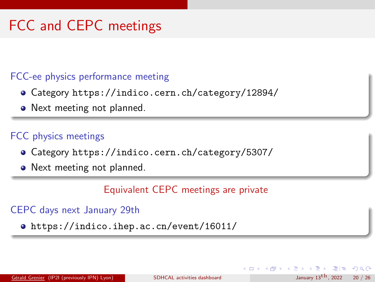# FCC and CEPC meetings

### FCC-ee physics performance meeting

- Category <https://indico.cern.ch/category/12894/>
- Next meeting not planned.

### FCC physics meetings

- Category <https://indico.cern.ch/category/5307/>
- Next meeting not planned.

#### Equivalent CEPC meetings are private

#### CEPC days next January 29th

<https://indico.ihep.ac.cn/event/16011/>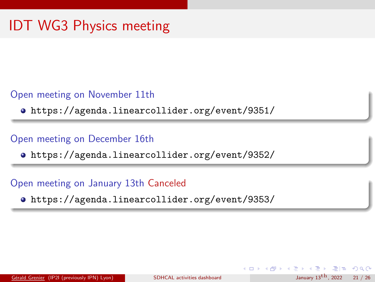#### Open meeting on November 11th

<https://agenda.linearcollider.org/event/9351/>

#### Open meeting on December 16th

<https://agenda.linearcollider.org/event/9352/>

#### Open meeting on January 13th Canceled

<https://agenda.linearcollider.org/event/9353/>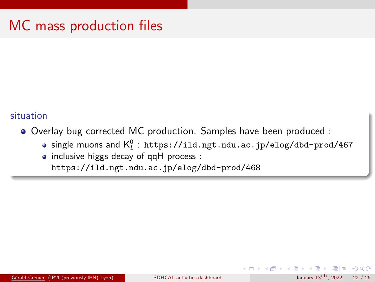### MC mass production files

#### situation

- Overlay bug corrected MC production. Samples have been produced :
	- single muons and  $\mathsf{K}_{\iota}^0$  : <code><https://ild.ngt.ndu.ac.jp/elog/dbd-prod/467></code>
	- inclusive higgs decay of qqH process : <https://ild.ngt.ndu.ac.jp/elog/dbd-prod/468>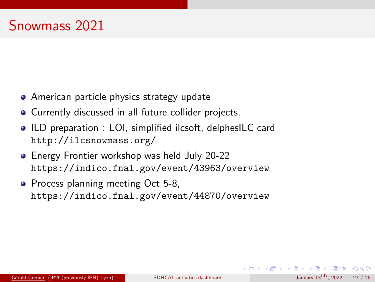- **•** American particle physics strategy update
- Currently discussed in all future collider projects.
- ILD preparation : LOI, simplified ilcsoft, delphesILC card <http://ilcsnowmass.org/>
- **Energy Frontier workshop was held July 20-22** <https://indico.fnal.gov/event/43963/overview>
- Process planning meeting Oct 5-8, <https://indico.fnal.gov/event/44870/overview>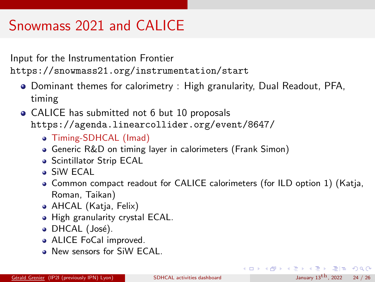# Snowmass 2021 and CALICE

Input for the Instrumentation Frontier <https://snowmass21.org/instrumentation/start>

- **Dominant themes for calorimetry : High granularity, Dual Readout, PFA,** timing
- CALICE has submitted not 6 but 10 proposals <https://agenda.linearcollider.org/event/8647/>
	- Timing-SDHCAL (Imad)
	- Generic R&D on timing layer in calorimeters (Frank Simon)
	- **Scintillator Strip ECAL**
	- SiW ECAL
	- Common compact readout for CALICE calorimeters (for ILD option 1) (Katja, Roman, Taikan)
	- AHCAL (Katja, Felix)
	- High granularity crystal ECAL.
	- DHCAL (José).
	- ALICE FoCal improved.
	- New sensors for SiW ECAL.

K ロ ▶ K 個 ▶ K ヨ ▶ K ヨ ▶ [로] ≥ 10 Q Q Q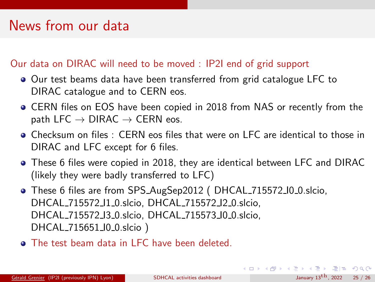### News from our data

#### Our data on DIRAC will need to be moved : IP2I end of grid support

- Our test beams data have been transferred from grid catalogue LFC to DIRAC catalogue and to CERN eos.
- CERN files on EOS have been copied in 2018 from NAS or recently from the path LFC  $\rightarrow$  DIRAC  $\rightarrow$  CERN eos.
- Checksum on files : CERN eos files that were on LFC are identical to those in DIRAC and LFC except for 6 files.
- These 6 files were copied in 2018, they are identical between LFC and DIRAC (likely they were badly transferred to LFC)
- These 6 files are from SPS AugSep2012 ( DHCAL 715572 I0 0.slcio, DHCAL 715572 I1 0.slcio, DHCAL 715572 I2 0.slcio, DHCAL 715572 I3 0.slcio, DHCAL 715573 I0 0.slcio, DHCAL 715651 I0 0.slcio )
- **Q** The test beam data in LFC have been deleted.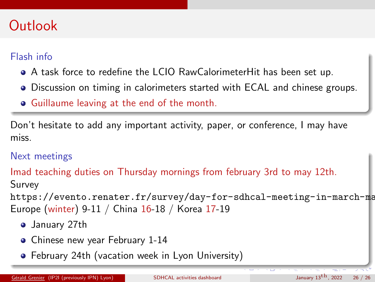### <span id="page-25-0"></span>**Outlook**

### Flash info

- A task force to redefine the LCIO RawCalorimeterHit has been set up.
- Discussion on timing in calorimeters started with ECAL and chinese groups.
- Guillaume leaving at the end of the month.

Don't hesitate to add any important activity, paper, or conference, I may have miss.

### Next meetings

Imad teaching duties on Thursday mornings from february 3rd to may 12th. Survey

[https://evento.renater.fr/survey/day-for-sdhcal-meeting-in-march-ma](https://evento.renater.fr/survey/day-for-sdhcal-meeting-in-march-may-period-8yfwr6c8) Europe (winter) 9-11 / China 16-18 / Korea 17-19

- January 27th
- Chinese new year February 1-14
- February 24th (vacation week in Lyon University)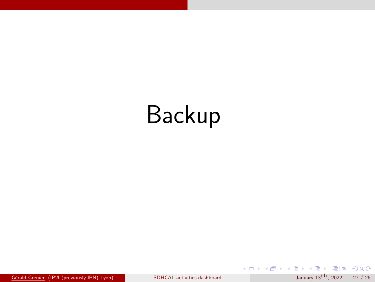# <span id="page-26-0"></span>Backup

Gérald Grenier (IP2I (previously IPN) Lyon) [SDHCAL activities dashboard](#page-0-0) January 13<sup>[th](#page-31-0)</sup>, 2022 27 / 26

K ロ ▶ K @ ▶ K ミ ▶ K ミ ▶ [로]로 19 Q @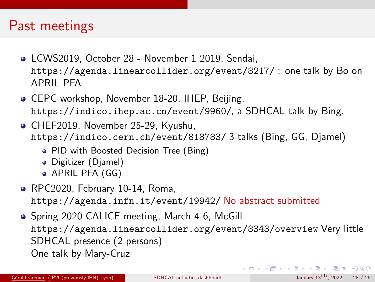### Past meetings

- LCWS2019, October 28 November 1 2019, Sendai, <https://agenda.linearcollider.org/event/8217/> : one talk by Bo on APRIL PFA
- **CEPC workshop, November 18-20, IHEP, Beijing,** <https://indico.ihep.ac.cn/event/9960/>, a SDHCAL talk by Bing.
- CHEF2019, November 25-29, Kyushu, [https://indico.cern.ch/event/818783/]( https://indico.cern.ch/event/818783/) 3 talks (Bing, GG, Djamel)
	- PID with Boosted Decision Tree (Bing)
	- Digitizer (Djamel)
	- APRIL PFA (GG)
- RPC2020, February 10-14, Roma, <https://agenda.infn.it/event/19942/> No abstract submitted
- Spring 2020 CALICE meeting, March 4-6, McGill <https://agenda.linearcollider.org/event/8343/overview> Very little SDHCAL presence (2 persons) One talk by Mary-Cruz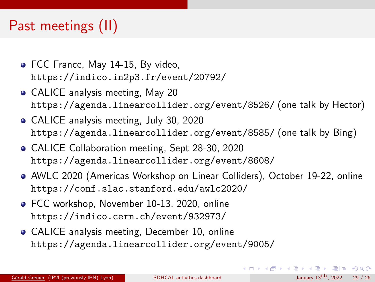### <span id="page-28-0"></span>Past meetings (II)

- FCC France, May 14-15, By video, <https://indico.in2p3.fr/event/20792/>
- CALICE analysis meeting, May 20 <https://agenda.linearcollider.org/event/8526/> (one talk by Hector)
- CALICE analysis meeting, July 30, 2020 <https://agenda.linearcollider.org/event/8585/> (one talk by Bing)
- CALICE Collaboration meeting, Sept 28-30, 2020 <https://agenda.linearcollider.org/event/8608/>
- AWLC 2020 (Americas Workshop on Linear Colliders), October 19-22, online <https://conf.slac.stanford.edu/awlc2020/>
- **FCC workshop, November 10-13, 2020, online** <https://indico.cern.ch/event/932973/>
- CALICE analysis meeting, December 10, online <https://agenda.linearcollider.org/event/9005/>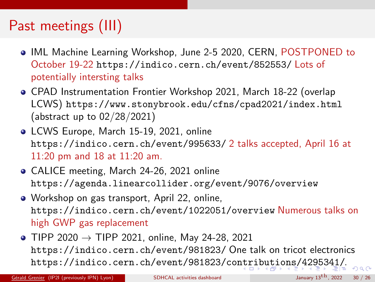# <span id="page-29-0"></span>Past meetings (III)

- IML Machine Learning Workshop, June 2-5 2020, CERN, POSTPONED to October 19-22 <https://indico.cern.ch/event/852553/> Lots of potentially intersting talks
- CPAD Instrumentation Frontier Workshop 2021, March 18-22 (overlap LCWS) <https://www.stonybrook.edu/cfns/cpad2021/index.html> (abstract up to 02/28/2021)
- LCWS Europe, March 15-19, 2021, online <https://indico.cern.ch/event/995633/> 2 talks accepted, April 16 at 11:20 pm and 18 at 11:20 am.
- CALICE meeting, March 24-26, 2021 online <https://agenda.linearcollider.org/event/9076/overview>
- Workshop on gas transport, April 22, online, <https://indico.cern.ch/event/1022051/overview> Numerous talks on high GWP gas replacement
- TIPP 2020  $\rightarrow$  TIPP 2021, online, May 24-28, 2021 <https://indico.cern.ch/event/981823/> One talk on tricot electronics <https://indico.cern.ch/event/981823/contributions/4295341/>.

Gérald Grenier (IP2I (previously IPN) Lyon) [SDHCAL activities dashboard](#page-0-0) January 13<sup>th</sup>, 2022 30 / 26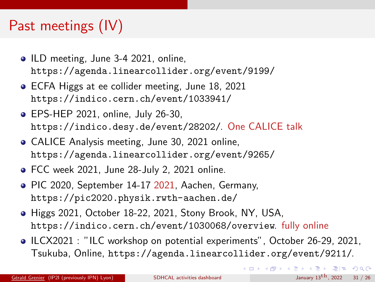# <span id="page-30-0"></span>Past meetings (IV)

- ILD meeting, June 3-4 2021, online, <https://agenda.linearcollider.org/event/9199/>
- **ECFA Higgs at ee collider meeting, June 18, 2021** <https://indico.cern.ch/event/1033941/>
- EPS-HEP 2021, online, July 26-30, <https://indico.desy.de/event/28202/>. One CALICE talk
- CALICE Analysis meeting, June 30, 2021 online, <https://agenda.linearcollider.org/event/9265/>
- FCC week 2021, June 28-July 2, 2021 online.
- PIC 2020, September 14-17 2021, Aachen, Germany, <https://pic2020.physik.rwth-aachen.de/>
- Higgs 2021, October 18-22, 2021, Stony Brook, NY, USA, <https://indico.cern.ch/event/1030068/overview>. fully online
- ILCX2021 : "ILC workshop on potential experiments", October 26-29, 2021, Tsukuba, Online, <https://agenda.linearcollider.org/event/9211/>.